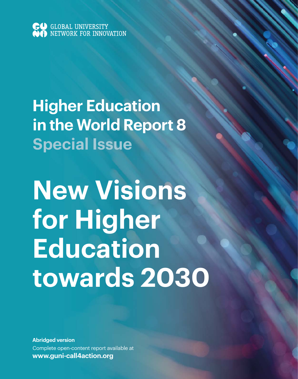

# **Higher Education in the World Report 8 Special Issue**

# **New Visions for Higher Education towards 2030**

**Abridged version** Complete open-content report available at **www.guni-call4action.org**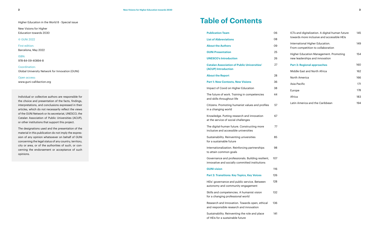Individual or collective authors are responsible for the choice and presentation of the facts, findings, interpretations, and conclusions expressed in their articles, which do not necessarily reflect the views of the GUNi Network or its secretariat, UNESCO, the Catalan Association of Public Universities (ACUP), or other institutions that support this project.

The designations used and the presentation of the material in this publication do not imply the expres sion of any opinion whatsoever on behalf of GUNi concerning the legal status of any country, territory, city or area, or of the authorities of such, or con cerning the endorsement or acceptance of such opinions.

Higher Education in the World 8 - Special issue

New Visions for Higher Education towards 2030

#### © GUNi 2022

First edition: Barcelona, May 2022

ISBN: 978-84-09-40894-8

Coordination: Global University Network for Innovation (GUNi)

Open access:

www.guni-call4action.org

- **Publication Team**
- **List of Abbreviations**
- **About the Authors**
- **GUNi Presentation**
- **UNESCO's Introduction**

**Catalan Association of Public Universities' (ACUP) Introduction**

#### **About the Report**

#### **Part 1: New Contexts, New Visions**

Impact of Covid on Higher Education

The future of work. Training in competencies and skills throughout life

Citizens. Promoting humanist values and profiles in a changing world

Knowledge. Putting research and innovation at the service of social challenges

The digital-human future. Constructing more inclusive and accessible universities

Sustainability. Reinventing universities for a sustainable future

Internationalization. Reinforcing partnerships to attain common goals

Governance and professionals. Building resilient, innovative and socially committed institutions

#### **GUNI vision**

#### **Part 2: Transitions: Key Topics, Key Voices**

HEIs' governance and public service. Between autonomy and community engagement

Skills and competencies. A humanist vision for a changing professional world

Research and Innovation. Towards open, ethical and responsible research and innovation

Sustainability. Reinventing the role and place of HEIs for a sustainable future

| 149 |
|-----|
| 154 |
| 160 |
| 162 |
| 166 |
| 171 |
| 178 |
| 183 |
| 194 |
|     |

- 67
- 77
- 85
- 98
- 107
- 116
- 126
- 128
- 
- 132
- 136
- 141

## **Table of Contents**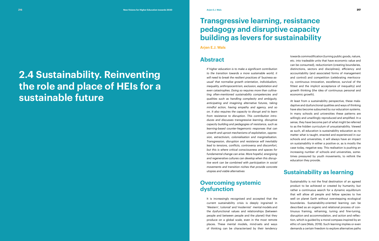## **2.4 Sustainability. Reinventing the role and place of HEIs for a sustainable future**

## **Transgressive learning, resistance pedagogy and disruptive capacity building as levers for sustainability**

### **Abstract**

*If higher education is to make a significant contribution to the transition towards a more sustainable world, it will need to break the resilient practices of 'business-asusual' that normalise growth orientation, individualism, inequality, anthropocentrism, exclusion, exploitation and even catastrophes. Doing so requires more than cultivating often-mentioned sustainability competencies and qualities such as handling complexity and ambiguity, anticipating and imagining alternative futures, taking mindful action, having empathy and agency, and so on. It also requires the capacity to disrupt and to learn from resistance to disruption. This contribution introduces and discusses transgressive learning, disruptive capacity building and pedagogies of resistance, such as learning-based counter-hegemonic responses that can unearth and uproot mechanisms of exploitation, oppression, extractivism, colonialisation and marginalisation. Transgression, disruption and resistance will inevitably lead to tensions, conflicts, controversy and discomfort, but this is where critical consciousness and spaces for fundamental change can arise. More hopeful, energising and regenerative cultures can develop when this disruptive work can be combined with participation in social movements and transition niches that provide concrete utopias and viable alternatives*

## **Overcoming systemic dysfunction**

It is increasingly recognised and accepted that the current sustainability crisis is deeply ingrained in 'Western', 'colonial' and 'modernist' mental models and the dysfunctional values and relationships (between people and between people and the planet) that they produce on a global scale, even in the most remote places. These mental models, mind-sets and ways of thinking can be characterised by their tendency

towards commodification (turning public goods, nature, etc. into tradeable units that have economic value and can be consumed), reductionism (creating boundaries, distinctions, sectors and disciplines), efficiency and accountability (and associated forms of management and control) and competition (celebrating meritocracy, continuous innovation, excellence, survival of the fittest and the implicit acceptance of inequality) and growth thinking (the idea of continuous personal and economic growth).

At least from a sustainability perspective, these maladaptive and dysfunctional qualities and ways of thinking have also become subsumed by our education systems. In many schools and universities these patterns are willingly and unwillingly reproduced and amplified. In a sense, they have become part of what might be referred to as the hidden curriculum of unsustainability. Viewed as such, all education is sustainability education as no matter what is taught, enacted and experienced in our schools and universities, it will always have an impact on sustainability in either a positive or, as is mostly the case today, negative way. This realisation is pushing an increasing number of schools and universities, sometimes pressured by youth movements, to rethink the education they provide.

## **Sustainability as learning**

Sustainability is not the final destination of an agreed product to be achieved or created by humanity, but rather a continuous search for a dynamic equilibrium that will allow all people and fellow species to live well on planet Earth without overstepping ecological boundaries. Sustainability-oriented learning can be described as an organic and relational process of continuous framing, reframing, tuning and fine-tuning, disruption and accommodation, and action and reflection, which is guided by a moral compass inspired by an ethic of care (Wals, 2019). Such learning implies or even demands a certain freedom to explore alternative paths

**Arjen E.J. Wals**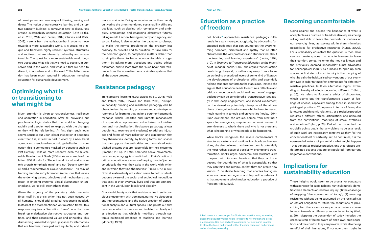more sustainable. Doing so requires more than merely cultivating the often-mentioned sustainability skills and qualities, such as dealing with complexity and ambiguity, anticipating and imagining alternative futures, taking mindful action, having empathy and agency, and so on. Rather, it also requires the capacity to disrupt, to make the normal problematic, the ordinary less ordinary, to provoke and to question, to take risks for the common good, to complicate matters rather than to simplify them, to become uncomfortable – together – by asking moral questions and posing ethical dilemmas, and to learn from the 'push back' and resistance from the normalised unsustainable systems that all the above creates.

#### **Resistance pedagogy**

Transgressive learning (Lotz-Sisitka et al., 2015; Wals and Peters, 2017; Chaves and Wals, 2018), disruptive capacity building and resistance pedagogy can be characterised by learning processes and contexts/environments for learning that invite a counter-hegemonic response which unearths and uproots mechanisms of exploitation, oppression, extractivism, colonialisation and marginalisation. Resistance pedagogy allows people (e.g. teachers and students) to address injustices and forms of marginalisation and exploitation that they themselves identify, by finding forms and spaces that can oppose the authorities and normalised established systems that are responsible for their existence (Bracher, 2006). In Latin American social movements, resistance pedagogy is often linked to Freire's notion of critical education as a means of helping people "perceive critically the way they exist in the world with which and in which they find themselves" (Freire 1970, p. 64). Critical sustainability education seeks to help students become aware of the social and ecological inequalities that exist in their everyday lives and that are omnipresent in the world, both locally and globally.

Chandra Mohanty adds that resistance lies in self-conscious engagement with dominant, normative discourses and representations and the active creation of oppositional analytic and cultural spaces. She points out that resistance which is random and isolated is clearly not as effective as that which is mobilised through systemic politicised practices of teaching and learning (Mohanty, 1989).

of development and new ways of thinking, valuing and doing. The notion of transgressive learning and disruptive capacity building is somewhat new in discourses around sustainability-oriented education (Lotz-Sisitka, et al. 2015; Wals and Peters, 2017; Chaves and Wals, 2018). It stems from the realisation that in order to move towards a more sustainable world, it is crucial to critique and transform highly resilient systems, structures and routines that are inherently unhealthy and unsustainable. The quest for a more sustainable world begs two questions: what is it that we need to sustain, in ourselves and in the world, and what is it that we need to disrupt, in ourselves and in the world? The latter question has been much ignored in education, including education for sustainable development.

### **Optimising what is or transitioning to what might be**

bell hooks<sup>(1)</sup> approaches resistance pedagogy differently, in a way more pedagogically, by advocating "an engaged pedagogy that can counteract the overwhelming boredom, disinterest and apathy that so often characterise the way professors and students feel about the teaching and learning experience" (hooks, 1994, p10). In *Teaching to Transgress: Education as the Practice of Freedom* (hooks, 1994), she argues that education needs to go beyond, or rather stay away from a focus on achieving prescribed levels of some kind of literacy, the development of professional skills and essentially helping students conform to the status quo. Instead she argues that education needs to nurture a reflective and critical stance towards social realities. hooks' engaged pedagogy can be considered a "transgressive" pedagogy in that deep engagement, and indeed excitement, can be viewed as potentially disruptive of the atmosphere of misguided seriousness which characterises so much learning in schools and universities (hooks, 1994). Such excitement, she argues, comes from creating a space for emergence, surprise and an environment of attentiveness to who is there and who is not there and what is happening or what needs to be happening. While hooks recognises the severe confinements of structures, systems and routines in schools and universities, she also believes that the classroom is potentially the most radical space of possibility, change and transformation. hooks urges educators and students alike to open their minds and hearts so that they can know beyond the boundaries of what is acceptable, so that they can think and rethink, so that they can create new visions. "I celebrate teaching that enables transgressions – a movement against and beyond boundaries. It

Much attention is given to responsiveness, resilience and adaptation in education. After all, prevailing but problematic logic states that the world is changing rapidly and people need to keep up with the changes or they will be left behind. At first sight such logic seems sensible but upon closer inspection it becomes clear that it is, at least in part, fuelled by a neo-liberal agenda and associated economic globalisation. In education this is sometimes masked by concepts such as 21st Century Skills or, more recently, even the Sustainable Development Goals (SDGs). As an example of the latter, SDG 8 calls for 'Decent work for all and *economic growth'* (emphasis mine) and not 'Decent work for all and *a regenerative or circular economy'*. This way of framing leads to an *'optimisation frame'*: one that leaves the underlying values, principles and mechanisms that result in ongoing systemic global dysfunction untouched and, worse still, strengthens them.

Given the urgency of the planetary crisis humanity finds itself in, a crisis which has not been caused by all humans, I should add, a radical response is needed. Instead of the aforementioned optimisation frame, this response requires a 'transition frame', one that can break up maladaptive destructive structures and routines, and their associated values and principles. This dismantling is needed to open up spaces for alternatives that are healthier, more just and equitable, and indeed

## **Education as a practice of freedom**

is that movement which makes education a practice of freedom" (ibid., p22).

#### **Becoming uncomfortable**

Going against and beyond the boundaries of what is acceptable as a practice of freedom also requires being willing and able to leave the comforts or routines of our everyday lives, as staying within them minimises possibilities for productive resistance (Kuntz, 2020). For sustainability educators the question is then: how can we create spaces that enable learners to leave their comfort zones, to enter the not yet known and the previously deemed impossible? Kuntz advocates for philosophical inquiry as a means to open up such spaces. A first step of such inquiry is the mapping of what he calls the habitualised conventions of our everyday lives in order to "manifest entry points for differently resistive practices, built on alternative logics, extending a diversity of effects-becoming different..." (ibid., p. 26). He refers to Foucault's ethics of discomfort, which points out the transformative power of feelings of unease, especially among those in somewhat privileged positions. "To operate in terms of flows, disjunctures and dynamic relations... as a resistive practice requires a different ethical articulation; one unbound from the conventional moorings of stasis, synthesis and repetition" (ibid, p. 28). Part of the discomfort, he crucially points out, is that any claims made as a result of such work are necessarily tentative as they fail the conventional test of certainty. Yet, he continues, it is the open-ended nature of potential - what might happen - that generates resistive practice, one that refuses predetermined aspects that are extrapolated from current hegemonic conventions.

## **Implications for sustainability education**

These insights would seem to be crucial for educators with a concern for sustainability. Kuntz ultimately identifies three elements of resistive inquiry: (1) the challenge of mapping "the convention of today"; (2) enacting resistance without being subsumed by the resisted; (3) an ethical obligation to refuse the seductions of prescribing for others even as we perhaps desire a course forward towards a differently encountered today (ibid, p. 29). Mapping the convention of today includes the essential step of being aware of one's own predispositions and the comfort they can provide, while also being mindful of their limitations, if not now then maybe in

1. bell hooks is a pseudonym for Gloria Jean Watkins who, as a writer, chose the pseudonym bell hooks in tribute to her mother and greatgrandmother. She decided not to capitalise her new name in order to place the focus on her work rather than her name and on her ideas rather than her personality.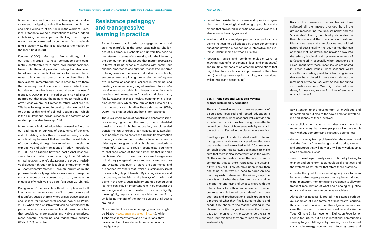#### **Resistance pedagogy and transgressive learning in practice**

Earlier I wrote that in order to engage students and staff meaningfully in the great sustainability challenges of our time, our schools and universities need to be: *relevant* in terms of connecting with the life-world, the community and the issues that matter, *responsive* in terms of being capable of dealing with continuous change, emergence and surprise, *responsible* in terms of being aware of the values that individuals, schools, structures, etc. amplify, ignore or silence, *re-imaginative* in terms of engaging learners in imagining and creating viable and energising alternative futures, *relational* in terms of establishing deeper connections with people, non-humans, matter/materials and places, and, finally, *reflexive* in that a healthy community is a learning community which also implies that sustainability is a continuous search rather than a destination (Wals, 2019). This chapter adds another 'r': for resistance.

There is a whole range of hopeful and generative practices emerging around the world; from student-led transformations in higher education, to citizen-led transformation of urban green spaces, to sustainability-minded activist scientists engaging in transformation of energy, water and food systems, to school communities trying to green their schools and curricula in meaningful ways, to circular economists beginning to challenge some of the fundamentals that underlie capitalism. Many of these practices are transgressive in that they go against forces and normalised routines and systems that push a future pre-determined and pre-scribed by others that, from a sustainability point of view, is highly problematic. By inviting diversity and dissonance, and utilising multiple ways of knowing and being in the world, sustainability-oriented ecologies of learning can play an important role in co-creating the knowledge and wisdom needed to live more lightly, meaningfully, equitably and healthily on the Earth, while being mindful of the intrinsic values of all that is around us.

One example of resistance pedagogy in action might be T-Labs (www.transgressivelearning.org). While T-labs exist in many forms and articulations, they have a number of key elements in common in that they typically:

times to come, and calls for maintaining a critical distance and navigating a fine line between holding on and being willing to let go. Again, in the words of Kuntz, it calls "for not allowing presumptions to remain lodged in totalising certainty yet not thinking them fragile enough to be overturned by contingent facts; maintaining a distant view that also addresses the nearby, or the local" (ibid, p. 30).

Foucault (2000), referring to Merleau-Ponty, points out that it is crucial "to never consent to being completely comfortable with one's own presuppositions. Never to let them fall peacefully asleep, but also never to believe that a new fact will suffice to overturn them; never to imagine that one can change them like arbitrary axioms, remembering that in order to give them the necessary mobility one must have a distant view, but also look at what is nearby and all around oneself." (Foucault, 2000, p. 448). In earlier work he had already pointed out that today the point is not so much to discover what we are, but rather to refuse what we are. "We have to imagine and to build up what we could be to get rid of this kind of political "double bind," which is the simultaneous individualisation and totalisation of modern power structures. (p. 785).

More recently, Braidotti added that we need to "detoxify our bad habits, in our way of consuming, of thinking, and of relating with others, instead entering a state of critical displacement that refuses the biased habits of thought that, through their repetition, maintain the exploitative and violent relations of "today."" (Braidotti, 2019a). The zig-zagging between local-global, past-present-future and what is and what might be, "affords a critical relation to one's situatedness, a type of resistive dislocation through philosophical engagement with our contemporary moment. Through inquiry we might provoke the detoxifying distance necessary to map the circumstances of our moment that, in turn, animate the injustices of which we are a part" (Braidotti, 2019b, 161).

Doing so won't be possible without disruption and will inevitably lead to tensions, conflicts, controversy and discomfort, but it is therein where critical consciousness and spaces for fundamental change can arise (Wals, 2021). When this disruptive work can be combined with participation in social movements and transition niches that provide concrete utopias and viable alternatives, more hopeful, energising and regenerative cultures (Wahl, 2016) can unfold.

- depart from existential concerns and questions regarding the socio-ecological wellbeing of people and the planet, that are rooted in specific people and places but always nested in a bigger world;
- involve and invite multiple perspectives and vantage points that can help all affected by these concerns and questions develop a deeper, more integrative and systemic understanding of what is at stake;
- recognise, utilise and combine multiple ways of knowing (scientific, experiential, local and indigenous) and multiple methods of co-creating interventions that might lead to a resolution or improvement of the situation (including cartographic mapping, trans-sectional walks (Box 1) and backcasting);

- pay attention to the development of knowledge and understanding but also to the socio-emotional well-being and agency of those involved;
- are explicitly normative in that they work towards a more just society that allows people to live more equitably without compromising planetary boundaries;
- do not shy away from problematising the conventional and the "normal" by resisting and disrupting systems and structures that willingly or unwillingly work against socio-ecological justice;
- seek to move beyond analysis and critique by looking to change and transform socio-ecological practices and the systems of structures that affect these practices;
- consider the quest for socio-ecological justice to be an iterative and emergent process that requires continuous experimentation, monitoring and evaluation to allow for frequent recalibration of what socio-ecological justice entails and what needs to be done to achieve it.

Although not necessarily rooted in resistance pedagogy, examples of such forms of transgressive learning, thus far usually outside or on the edges of universities, can often be found in loose intentional networks like the Youth Climate Strike movement, Extinction Rebellion or Fridays for Future, but also in intentional communities seeking to go off-the-grid by creating more localised sustainable energy cooperatives, food systems and

#### **Box 1: Trans-sectional walks as a way into critical sustainability education**

The transformative and transgressive potential of place-based, localised and 'rooted' education is often neglected. Trans-sectional walks provide an excellent entry point for becoming more attentive and conscious of how sustainability or a lack thereof is manifested in the places where we live.

Small groups of students, ideally with different backgrounds, walk towards a pre-identified destination that can be reached within 20 minutes or so. Each group has its own destination to make sure that there is also some variation in the walks. On their way to the destination they are to identify something that to them represents 'unsustainability'. They will likely stumble upon more than one thing or activity but need to agree on one that they wish to share with the wider group. The identifying of what they deem to be unsustainable and the prioritising of what to share with the others, leads to both attentiveness and deeper conversations informed by students' own perceptions and predispositions. Each group takes a picture of what they finally agree to share and sends it by phone to the teacher waiting in the classroom for the images to come in. On the way back to the university, the students do the same thing, but this time they are to look for signs of sustainability.

Back in the classroom, the teacher will have collected all the images provided by all the groups representing the 'unsustainable' and the 'sustainable'. Each group briefly elaborates on their choices and all the others can ask questions. Discussions reveal the ambiguous and wicked nature of sustainability, the boundaries that can or should (not) be drawn, and provide a way into the ethical, habitual and systemic elements of (un)sustainability, especially when questions are asked about how these 'local' issues are nested in larger global issues. Trans-sectional walks are often a starting point for identifying issues that can be explored in more depth during the remainder of the course. What to look for during such walks can vary. One might also ask students, for instance, to look for signs of empathy or a lack thereof.